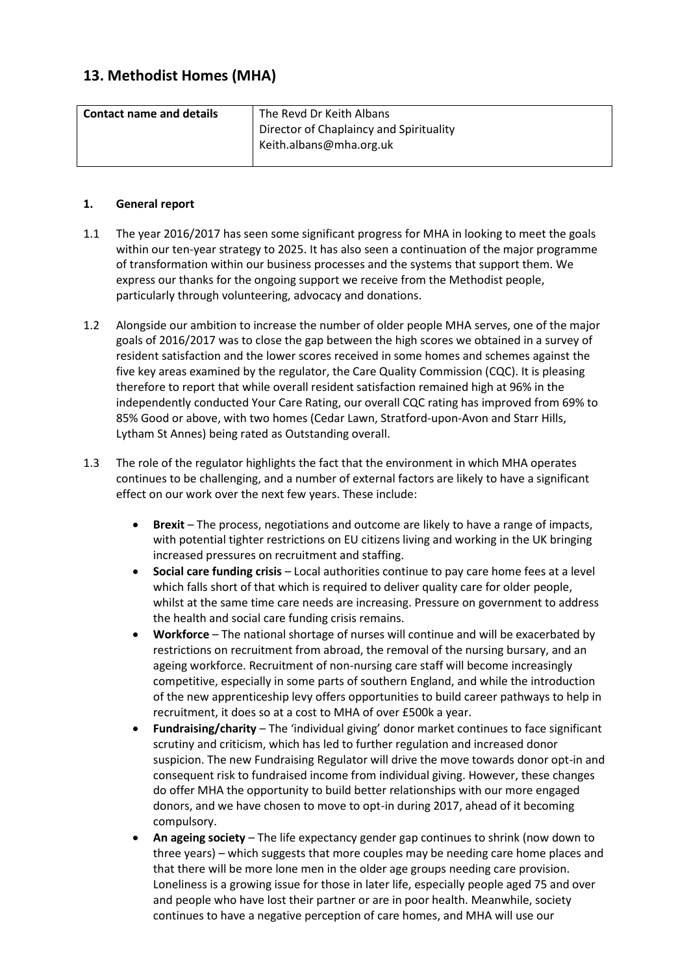# **13. Methodist Homes (MHA)**

| <b>Contact name and details</b> | The Revd Dr Keith Albans                |
|---------------------------------|-----------------------------------------|
|                                 | Director of Chaplaincy and Spirituality |
|                                 | Keith.albans@mha.org.uk                 |
|                                 |                                         |

## **1. General report**

- 1.1 The year 2016/2017 has seen some significant progress for MHA in looking to meet the goals within our ten-year strategy to 2025. It has also seen a continuation of the major programme of transformation within our business processes and the systems that support them. We express our thanks for the ongoing support we receive from the Methodist people, particularly through volunteering, advocacy and donations.
- 1.2 Alongside our ambition to increase the number of older people MHA serves, one of the major goals of 2016/2017 was to close the gap between the high scores we obtained in a survey of resident satisfaction and the lower scores received in some homes and schemes against the five key areas examined by the regulator, the Care Quality Commission (CQC). It is pleasing therefore to report that while overall resident satisfaction remained high at 96% in the independently conducted Your Care Rating, our overall CQC rating has improved from 69% to 85% Good or above, with two homes (Cedar Lawn, Stratford-upon-Avon and Starr Hills, Lytham St Annes) being rated as Outstanding overall.
- 1.3 The role of the regulator highlights the fact that the environment in which MHA operates continues to be challenging, and a number of external factors are likely to have a significant effect on our work over the next few years. These include:
	- **Brexit** The process, negotiations and outcome are likely to have a range of impacts, with potential tighter restrictions on EU citizens living and working in the UK bringing increased pressures on recruitment and staffing.
	- **Social care funding crisis** Local authorities continue to pay care home fees at a level which falls short of that which is required to deliver quality care for older people, whilst at the same time care needs are increasing. Pressure on government to address the health and social care funding crisis remains.
	- **Workforce** The national shortage of nurses will continue and will be exacerbated by restrictions on recruitment from abroad, the removal of the nursing bursary, and an ageing workforce. Recruitment of non-nursing care staff will become increasingly competitive, especially in some parts of southern England, and while the introduction of the new apprenticeship levy offers opportunities to build career pathways to help in recruitment, it does so at a cost to MHA of over £500k a year.
	- **Fundraising/charity**  The 'individual giving' donor market continues to face significant scrutiny and criticism, which has led to further regulation and increased donor suspicion. The new Fundraising Regulator will drive the move towards donor opt-in and consequent risk to fundraised income from individual giving. However, these changes do offer MHA the opportunity to build better relationships with our more engaged donors, and we have chosen to move to opt-in during 2017, ahead of it becoming compulsory.
	- **An ageing society**  The life expectancy gender gap continues to shrink (now down to three years) – which suggests that more couples may be needing care home places and that there will be more lone men in the older age groups needing care provision. Loneliness is a growing issue for those in later life, especially people aged 75 and over and people who have lost their partner or are in poor health. Meanwhile, society continues to have a negative perception of care homes, and MHA will use our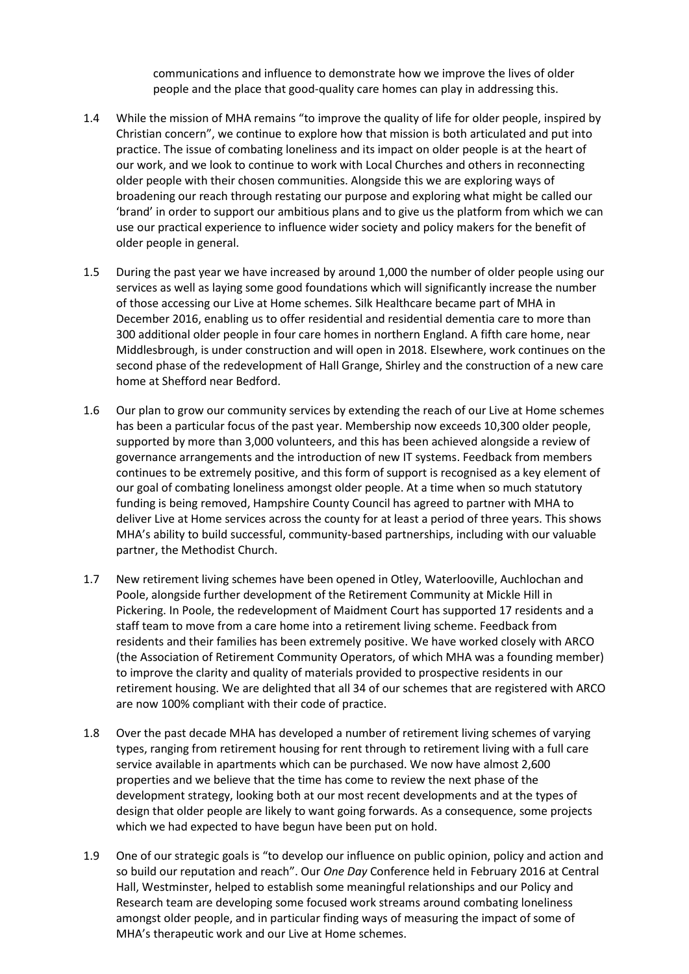communications and influence to demonstrate how we improve the lives of older people and the place that good-quality care homes can play in addressing this.

- 1.4 While the mission of MHA remains "to improve the quality of life for older people, inspired by Christian concern", we continue to explore how that mission is both articulated and put into practice. The issue of combating loneliness and its impact on older people is at the heart of our work, and we look to continue to work with Local Churches and others in reconnecting older people with their chosen communities. Alongside this we are exploring ways of broadening our reach through restating our purpose and exploring what might be called our 'brand' in order to support our ambitious plans and to give us the platform from which we can use our practical experience to influence wider society and policy makers for the benefit of older people in general.
- 1.5 During the past year we have increased by around 1,000 the number of older people using our services as well as laying some good foundations which will significantly increase the number of those accessing our Live at Home schemes. Silk Healthcare became part of MHA in December 2016, enabling us to offer residential and residential dementia care to more than 300 additional older people in four care homes in northern England. A fifth care home, near Middlesbrough, is under construction and will open in 2018. Elsewhere, work continues on the second phase of the redevelopment of Hall Grange, Shirley and the construction of a new care home at Shefford near Bedford.
- 1.6 Our plan to grow our community services by extending the reach of our Live at Home schemes has been a particular focus of the past year. Membership now exceeds 10,300 older people, supported by more than 3,000 volunteers, and this has been achieved alongside a review of governance arrangements and the introduction of new IT systems. Feedback from members continues to be extremely positive, and this form of support is recognised as a key element of our goal of combating loneliness amongst older people. At a time when so much statutory funding is being removed, Hampshire County Council has agreed to partner with MHA to deliver Live at Home services across the county for at least a period of three years. This shows MHA's ability to build successful, community-based partnerships, including with our valuable partner, the Methodist Church.
- 1.7 New retirement living schemes have been opened in Otley, Waterlooville, Auchlochan and Poole, alongside further development of the Retirement Community at Mickle Hill in Pickering. In Poole, the redevelopment of Maidment Court has supported 17 residents and a staff team to move from a care home into a retirement living scheme. Feedback from residents and their families has been extremely positive. We have worked closely with ARCO (the Association of Retirement Community Operators, of which MHA was a founding member) to improve the clarity and quality of materials provided to prospective residents in our retirement housing. We are delighted that all 34 of our schemes that are registered with ARCO are now 100% compliant with their code of practice.
- 1.8 Over the past decade MHA has developed a number of retirement living schemes of varying types, ranging from retirement housing for rent through to retirement living with a full care service available in apartments which can be purchased. We now have almost 2,600 properties and we believe that the time has come to review the next phase of the development strategy, looking both at our most recent developments and at the types of design that older people are likely to want going forwards. As a consequence, some projects which we had expected to have begun have been put on hold.
- 1.9 One of our strategic goals is "to develop our influence on public opinion, policy and action and so build our reputation and reach". Our *One Day* Conference held in February 2016 at Central Hall, Westminster, helped to establish some meaningful relationships and our Policy and Research team are developing some focused work streams around combating loneliness amongst older people, and in particular finding ways of measuring the impact of some of MHA's therapeutic work and our Live at Home schemes.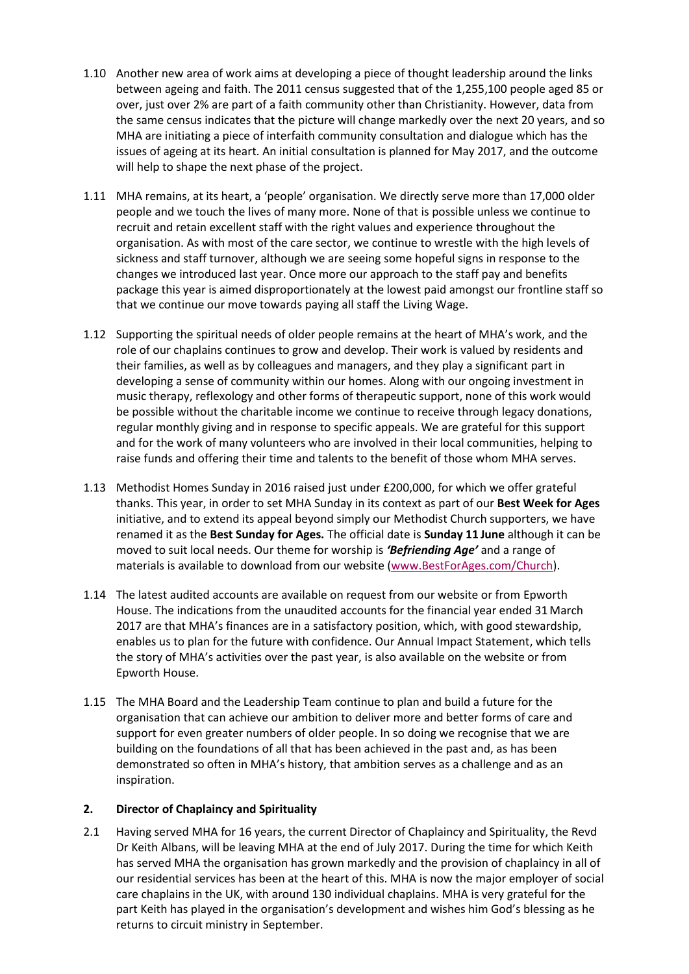- 1.10 Another new area of work aims at developing a piece of thought leadership around the links between ageing and faith. The 2011 census suggested that of the 1,255,100 people aged 85 or over, just over 2% are part of a faith community other than Christianity. However, data from the same census indicates that the picture will change markedly over the next 20 years, and so MHA are initiating a piece of interfaith community consultation and dialogue which has the issues of ageing at its heart. An initial consultation is planned for May 2017, and the outcome will help to shape the next phase of the project.
- 1.11 MHA remains, at its heart, a 'people' organisation. We directly serve more than 17,000 older people and we touch the lives of many more. None of that is possible unless we continue to recruit and retain excellent staff with the right values and experience throughout the organisation. As with most of the care sector, we continue to wrestle with the high levels of sickness and staff turnover, although we are seeing some hopeful signs in response to the changes we introduced last year. Once more our approach to the staff pay and benefits package this year is aimed disproportionately at the lowest paid amongst our frontline staff so that we continue our move towards paying all staff the Living Wage.
- 1.12 Supporting the spiritual needs of older people remains at the heart of MHA's work, and the role of our chaplains continues to grow and develop. Their work is valued by residents and their families, as well as by colleagues and managers, and they play a significant part in developing a sense of community within our homes. Along with our ongoing investment in music therapy, reflexology and other forms of therapeutic support, none of this work would be possible without the charitable income we continue to receive through legacy donations, regular monthly giving and in response to specific appeals. We are grateful for this support and for the work of many volunteers who are involved in their local communities, helping to raise funds and offering their time and talents to the benefit of those whom MHA serves.
- 1.13 Methodist Homes Sunday in 2016 raised just under £200,000, for which we offer grateful thanks. This year, in order to set MHA Sunday in its context as part of our **Best Week for Ages** initiative, and to extend its appeal beyond simply our Methodist Church supporters, we have renamed it as the **Best Sunday for Ages.** The official date is **Sunday 11 June** although it can be moved to suit local needs. Our theme for worship is *'Befriending Age'* and a range of materials is available to download from our website [\(www.BestForAges.com/Church\)](http://www.bestforages.com/Church).
- 1.14 The latest audited accounts are available on request from our website or from Epworth House. The indications from the unaudited accounts for the financial year ended 31March 2017 are that MHA's finances are in a satisfactory position, which, with good stewardship, enables us to plan for the future with confidence. Our Annual Impact Statement, which tells the story of MHA's activities over the past year, is also available on the website or from Epworth House.
- 1.15 The MHA Board and the Leadership Team continue to plan and build a future for the organisation that can achieve our ambition to deliver more and better forms of care and support for even greater numbers of older people. In so doing we recognise that we are building on the foundations of all that has been achieved in the past and, as has been demonstrated so often in MHA's history, that ambition serves as a challenge and as an inspiration.

#### **2. Director of Chaplaincy and Spirituality**

2.1 Having served MHA for 16 years, the current Director of Chaplaincy and Spirituality, the Revd Dr Keith Albans, will be leaving MHA at the end of July 2017. During the time for which Keith has served MHA the organisation has grown markedly and the provision of chaplaincy in all of our residential services has been at the heart of this. MHA is now the major employer of social care chaplains in the UK, with around 130 individual chaplains. MHA is very grateful for the part Keith has played in the organisation's development and wishes him God's blessing as he returns to circuit ministry in September.